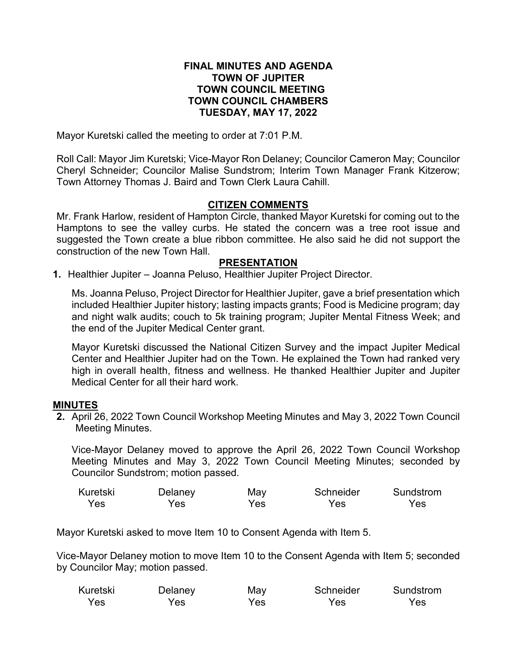# **FINAL MINUTES AND AGENDA TOWN OF JUPITER TOWN COUNCIL MEETING TOWN COUNCIL CHAMBERS TUESDAY, MAY 17, 2022**

Mayor Kuretski called the meeting to order at 7:01 P.M.

Roll Call: Mayor Jim Kuretski; Vice-Mayor Ron Delaney; Councilor Cameron May; Councilor Cheryl Schneider; Councilor Malise Sundstrom; Interim Town Manager Frank Kitzerow; Town Attorney Thomas J. Baird and Town Clerk Laura Cahill.

# **CITIZEN COMMENTS**

Mr. Frank Harlow, resident of Hampton Circle, thanked Mayor Kuretski for coming out to the Hamptons to see the valley curbs. He stated the concern was a tree root issue and suggested the Town create a blue ribbon committee. He also said he did not support the construction of the new Town Hall.

### **PRESENTATION**

**1.** Healthier Jupiter – Joanna Peluso, Healthier Jupiter Project Director.

Ms. Joanna Peluso, Project Director for Healthier Jupiter, gave a brief presentation which included Healthier Jupiter history; lasting impacts grants; Food is Medicine program; day and night walk audits; couch to 5k training program; Jupiter Mental Fitness Week; and the end of the Jupiter Medical Center grant.

Mayor Kuretski discussed the National Citizen Survey and the impact Jupiter Medical Center and Healthier Jupiter had on the Town. He explained the Town had ranked very high in overall health, fitness and wellness. He thanked Healthier Jupiter and Jupiter Medical Center for all their hard work.

### **MINUTES**

**2.** April 26, 2022 Town Council Workshop Meeting Minutes and May 3, 2022 Town Council Meeting Minutes.

Vice-Mayor Delaney moved to approve the April 26, 2022 Town Council Workshop Meeting Minutes and May 3, 2022 Town Council Meeting Minutes; seconded by Councilor Sundstrom; motion passed.

| Kuretski | Delaney | May | Schneider | Sundstrom |
|----------|---------|-----|-----------|-----------|
| Yes      | Yes.    | Yes | Yes       | Yes       |

Mayor Kuretski asked to move Item 10 to Consent Agenda with Item 5.

Vice-Mayor Delaney motion to move Item 10 to the Consent Agenda with Item 5; seconded by Councilor May; motion passed.

| Kuretski | Delaney | May | Schneider | Sundstrom |
|----------|---------|-----|-----------|-----------|
| Yes      | Yes     | Yes | Yes       | Yes       |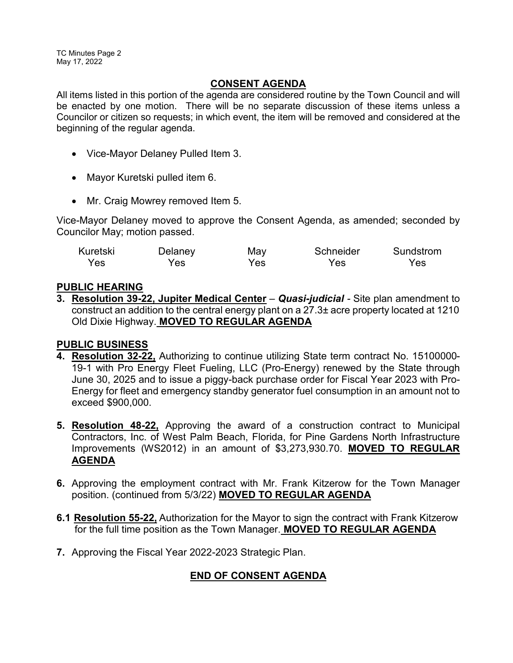TC Minutes Page 2 May 17, 2022

# **CONSENT AGENDA**

All items listed in this portion of the agenda are considered routine by the Town Council and will be enacted by one motion. There will be no separate discussion of these items unless a Councilor or citizen so requests; in which event, the item will be removed and considered at the beginning of the regular agenda.

- · Vice-Mayor Delaney Pulled Item 3.
- · Mayor Kuretski pulled item 6.
- Mr. Craig Mowrey removed Item 5.

Vice-Mayor Delaney moved to approve the Consent Agenda, as amended; seconded by Councilor May; motion passed.

| Kuretski | Delaney | May | Schneider | Sundstrom |
|----------|---------|-----|-----------|-----------|
| Yes      | Yes.    | Yes | Yes       | Yes       |

# **PUBLIC HEARING**

**3. Resolution 39-22, Jupiter Medical Center** – *Quasi-judicial -* Site plan amendment to construct an addition to the central energy plant on a 27.3± acre property located at 1210 Old Dixie Highway. **MOVED TO REGULAR AGENDA**

# **PUBLIC BUSINESS**

- **4. Resolution 32-22,** Authorizing to continue utilizing State term contract No. 15100000- 19-1 with Pro Energy Fleet Fueling, LLC (Pro-Energy) renewed by the State through June 30, 2025 and to issue a piggy-back purchase order for Fiscal Year 2023 with Pro-Energy for fleet and emergency standby generator fuel consumption in an amount not to exceed \$900,000.
- **5. Resolution 48-22,** Approving the award of a construction contract to Municipal Contractors, Inc. of West Palm Beach, Florida, for Pine Gardens North Infrastructure Improvements (WS2012) in an amount of \$3,273,930.70. **MOVED TO REGULAR AGENDA**
- **6.** Approving the employment contract with Mr. Frank Kitzerow for the Town Manager position. (continued from 5/3/22) **MOVED TO REGULAR AGENDA**
- **6.1 Resolution 55-22,** Authorization for the Mayor to sign the contract with Frank Kitzerow for the full time position as the Town Manager. **MOVED TO REGULAR AGENDA**
- **7.** Approving the Fiscal Year 2022-2023 Strategic Plan.

# **END OF CONSENT AGENDA**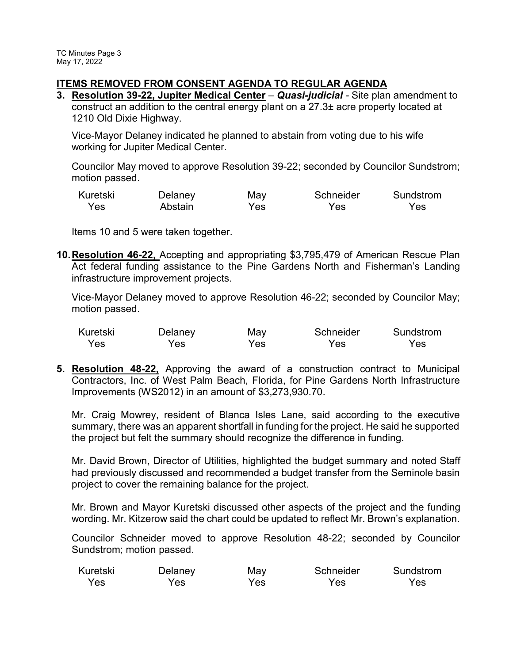# **ITEMS REMOVED FROM CONSENT AGENDA TO REGULAR AGENDA**

**3. Resolution 39-22, Jupiter Medical Center** – *Quasi-judicial -* Site plan amendment to construct an addition to the central energy plant on a 27.3± acre property located at 1210 Old Dixie Highway.

Vice-Mayor Delaney indicated he planned to abstain from voting due to his wife working for Jupiter Medical Center.

Councilor May moved to approve Resolution 39-22; seconded by Councilor Sundstrom; motion passed.

| Kuretski | Delaney | May | Schneider | Sundstrom |
|----------|---------|-----|-----------|-----------|
| Yes      | Abstain | Yes | Yes       | Yes       |

Items 10 and 5 were taken together.

**10.Resolution 46-22,** Accepting and appropriating \$3,795,479 of American Rescue Plan Act federal funding assistance to the Pine Gardens North and Fisherman's Landing infrastructure improvement projects.

Vice-Mayor Delaney moved to approve Resolution 46-22; seconded by Councilor May; motion passed.

| Kuretski | Delaney | May | Schneider | Sundstrom |
|----------|---------|-----|-----------|-----------|
| Yes      | Yes.    | Yes | Yes.      | Yes.      |

**5. Resolution 48-22,** Approving the award of a construction contract to Municipal Contractors, Inc. of West Palm Beach, Florida, for Pine Gardens North Infrastructure Improvements (WS2012) in an amount of \$3,273,930.70.

Mr. Craig Mowrey, resident of Blanca Isles Lane, said according to the executive summary, there was an apparent shortfall in funding for the project. He said he supported the project but felt the summary should recognize the difference in funding.

Mr. David Brown, Director of Utilities, highlighted the budget summary and noted Staff had previously discussed and recommended a budget transfer from the Seminole basin project to cover the remaining balance for the project.

Mr. Brown and Mayor Kuretski discussed other aspects of the project and the funding wording. Mr. Kitzerow said the chart could be updated to reflect Mr. Brown's explanation.

Councilor Schneider moved to approve Resolution 48-22; seconded by Councilor Sundstrom; motion passed.

| Kuretski | Delaney | May | Schneider | Sundstrom |
|----------|---------|-----|-----------|-----------|
| Yes      | Yes     | Yes | Yes       | Yes.      |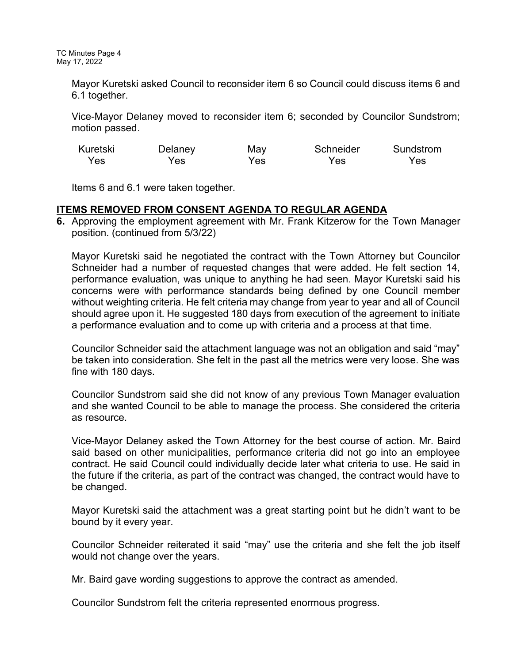Mayor Kuretski asked Council to reconsider item 6 so Council could discuss items 6 and 6.1 together.

Vice-Mayor Delaney moved to reconsider item 6; seconded by Councilor Sundstrom; motion passed.

| Kuretski | Delaney | May  | Schneider | Sundstrom |
|----------|---------|------|-----------|-----------|
| Yes      | Yes.    | Yes. | Yes       | Yes       |

Items 6 and 6.1 were taken together.

# **ITEMS REMOVED FROM CONSENT AGENDA TO REGULAR AGENDA**

**6.** Approving the employment agreement with Mr. Frank Kitzerow for the Town Manager position. (continued from 5/3/22)

Mayor Kuretski said he negotiated the contract with the Town Attorney but Councilor Schneider had a number of requested changes that were added. He felt section 14, performance evaluation, was unique to anything he had seen. Mayor Kuretski said his concerns were with performance standards being defined by one Council member without weighting criteria. He felt criteria may change from year to year and all of Council should agree upon it. He suggested 180 days from execution of the agreement to initiate a performance evaluation and to come up with criteria and a process at that time.

Councilor Schneider said the attachment language was not an obligation and said "may" be taken into consideration. She felt in the past all the metrics were very loose. She was fine with 180 days.

Councilor Sundstrom said she did not know of any previous Town Manager evaluation and she wanted Council to be able to manage the process. She considered the criteria as resource.

Vice-Mayor Delaney asked the Town Attorney for the best course of action. Mr. Baird said based on other municipalities, performance criteria did not go into an employee contract. He said Council could individually decide later what criteria to use. He said in the future if the criteria, as part of the contract was changed, the contract would have to be changed.

Mayor Kuretski said the attachment was a great starting point but he didn't want to be bound by it every year.

Councilor Schneider reiterated it said "may" use the criteria and she felt the job itself would not change over the years.

Mr. Baird gave wording suggestions to approve the contract as amended.

Councilor Sundstrom felt the criteria represented enormous progress.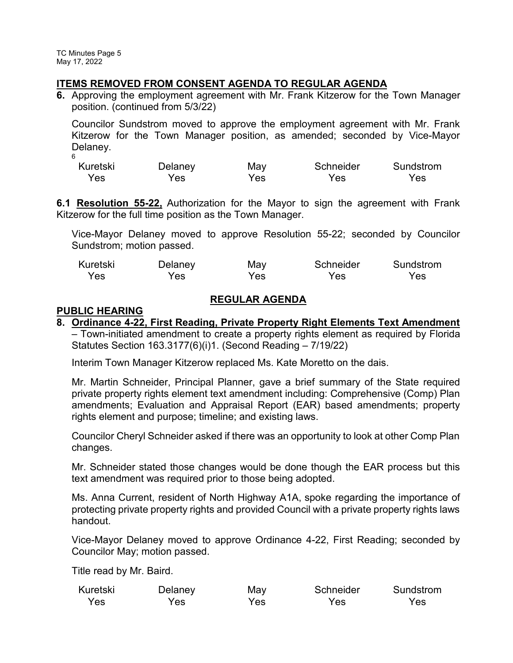## **ITEMS REMOVED FROM CONSENT AGENDA TO REGULAR AGENDA**

**6.** Approving the employment agreement with Mr. Frank Kitzerow for the Town Manager position. (continued from 5/3/22)

Councilor Sundstrom moved to approve the employment agreement with Mr. Frank Kitzerow for the Town Manager position, as amended; seconded by Vice-Mayor Delaney. 6

| Kuretski | Delaney | May  | Schneider | Sundstrom |
|----------|---------|------|-----------|-----------|
| Yes      | Yes     | Yes. | Yes       | Yes       |

**6.1 Resolution 55-22,** Authorization for the Mayor to sign the agreement with Frank Kitzerow for the full time position as the Town Manager.

Vice-Mayor Delaney moved to approve Resolution 55-22; seconded by Councilor Sundstrom; motion passed.

| Kuretski | Delaney | May | Schneider | Sundstrom |
|----------|---------|-----|-----------|-----------|
| Yes      | Yes.    | Yes | Yes       | Yes       |

# **REGULAR AGENDA**

### **PUBLIC HEARING**

**8. Ordinance 4-22, First Reading, Private Property Right Elements Text Amendment** 

– Town-initiated amendment to create a property rights element as required by Florida Statutes Section 163.3177(6)(i)1. (Second Reading – 7/19/22)

Interim Town Manager Kitzerow replaced Ms. Kate Moretto on the dais.

Mr. Martin Schneider, Principal Planner, gave a brief summary of the State required private property rights element text amendment including: Comprehensive (Comp) Plan amendments; Evaluation and Appraisal Report (EAR) based amendments; property rights element and purpose; timeline; and existing laws.

Councilor Cheryl Schneider asked if there was an opportunity to look at other Comp Plan changes.

Mr. Schneider stated those changes would be done though the EAR process but this text amendment was required prior to those being adopted.

Ms. Anna Current, resident of North Highway A1A, spoke regarding the importance of protecting private property rights and provided Council with a private property rights laws handout.

Vice-Mayor Delaney moved to approve Ordinance 4-22, First Reading; seconded by Councilor May; motion passed.

Title read by Mr. Baird.

| Kuretski | Delaney | May | Schneider | Sundstrom |
|----------|---------|-----|-----------|-----------|
| Yes      | Yes     | Yes | Yes       | Yes       |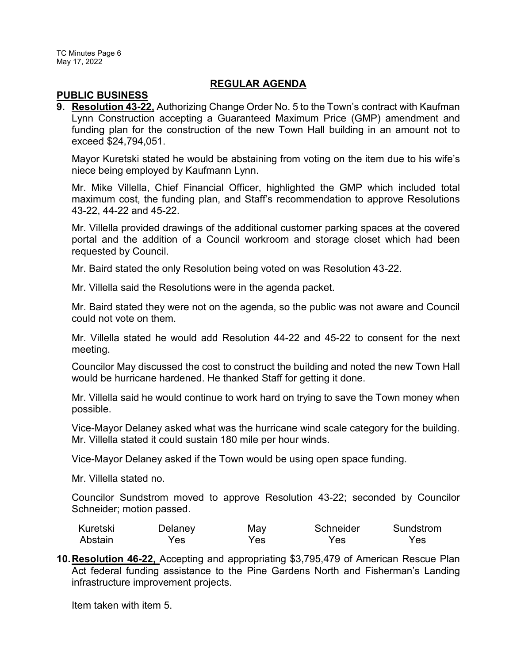# **REGULAR AGENDA**

### **PUBLIC BUSINESS**

**9. Resolution 43-22,** Authorizing Change Order No. 5 to the Town's contract with Kaufman Lynn Construction accepting a Guaranteed Maximum Price (GMP) amendment and funding plan for the construction of the new Town Hall building in an amount not to exceed \$24,794,051.

Mayor Kuretski stated he would be abstaining from voting on the item due to his wife's niece being employed by Kaufmann Lynn.

Mr. Mike Villella, Chief Financial Officer, highlighted the GMP which included total maximum cost, the funding plan, and Staff's recommendation to approve Resolutions 43-22, 44-22 and 45-22.

Mr. Villella provided drawings of the additional customer parking spaces at the covered portal and the addition of a Council workroom and storage closet which had been requested by Council.

Mr. Baird stated the only Resolution being voted on was Resolution 43-22.

Mr. Villella said the Resolutions were in the agenda packet.

Mr. Baird stated they were not on the agenda, so the public was not aware and Council could not vote on them.

Mr. Villella stated he would add Resolution 44-22 and 45-22 to consent for the next meeting.

Councilor May discussed the cost to construct the building and noted the new Town Hall would be hurricane hardened. He thanked Staff for getting it done.

Mr. Villella said he would continue to work hard on trying to save the Town money when possible.

Vice-Mayor Delaney asked what was the hurricane wind scale category for the building. Mr. Villella stated it could sustain 180 mile per hour winds.

Vice-Mayor Delaney asked if the Town would be using open space funding.

Mr. Villella stated no.

Councilor Sundstrom moved to approve Resolution 43-22; seconded by Councilor Schneider; motion passed.

| Kuretski | Delaney | May | Schneider | Sundstrom |
|----------|---------|-----|-----------|-----------|
| Abstain  | Yes     | Yes | Yes.      | Yes       |

**10.Resolution 46-22,** Accepting and appropriating \$3,795,479 of American Rescue Plan Act federal funding assistance to the Pine Gardens North and Fisherman's Landing infrastructure improvement projects.

Item taken with item 5.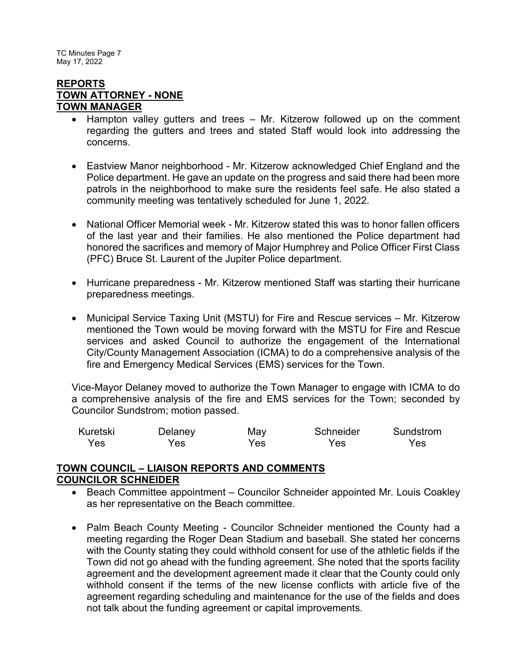TC Minutes Page 7 May 17, 2022

### **REPORTS TOWN ATTORNEY - NONE TOWN MANAGER**

- Hampton valley gutters and trees Mr. Kitzerow followed up on the comment regarding the gutters and trees and stated Staff would look into addressing the concerns.
- · Eastview Manor neighborhood Mr. Kitzerow acknowledged Chief England and the Police department. He gave an update on the progress and said there had been more patrols in the neighborhood to make sure the residents feel safe. He also stated a community meeting was tentatively scheduled for June 1, 2022.
- · National Officer Memorial week Mr. Kitzerow stated this was to honor fallen officers of the last year and their families. He also mentioned the Police department had honored the sacrifices and memory of Major Humphrey and Police Officer First Class (PFC) Bruce St. Laurent of the Jupiter Police department.
- · Hurricane preparedness Mr. Kitzerow mentioned Staff was starting their hurricane preparedness meetings.
- · Municipal Service Taxing Unit (MSTU) for Fire and Rescue services Mr. Kitzerow mentioned the Town would be moving forward with the MSTU for Fire and Rescue services and asked Council to authorize the engagement of the International City/County Management Association (ICMA) to do a comprehensive analysis of the fire and Emergency Medical Services (EMS) services for the Town.

Vice-Mayor Delaney moved to authorize the Town Manager to engage with ICMA to do a comprehensive analysis of the fire and EMS services for the Town; seconded by Councilor Sundstrom; motion passed.

| Kuretski | Delaney | May  | Schneider | Sundstrom |
|----------|---------|------|-----------|-----------|
| Yes      | Yes     | Yes: | Yes.      | Yes       |

### **TOWN COUNCIL – LIAISON REPORTS AND COMMENTS COUNCILOR SCHNEIDER**

- Beach Committee appointment Councilor Schneider appointed Mr. Louis Coakley as her representative on the Beach committee.
- Palm Beach County Meeting Councilor Schneider mentioned the County had a meeting regarding the Roger Dean Stadium and baseball. She stated her concerns with the County stating they could withhold consent for use of the athletic fields if the Town did not go ahead with the funding agreement. She noted that the sports facility agreement and the development agreement made it clear that the County could only withhold consent if the terms of the new license conflicts with article five of the agreement regarding scheduling and maintenance for the use of the fields and does not talk about the funding agreement or capital improvements.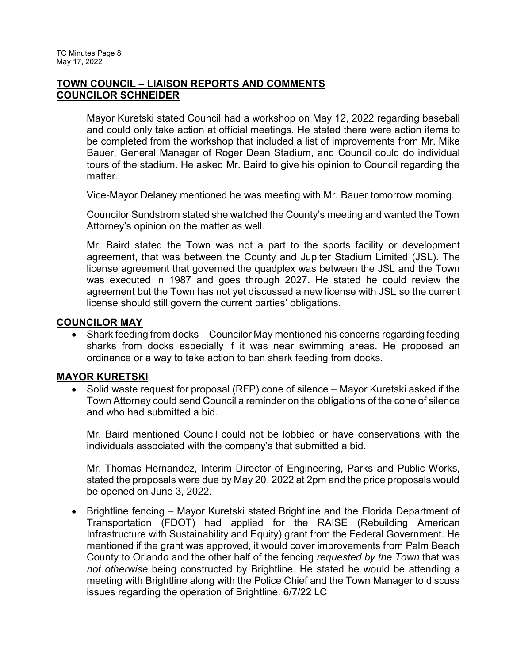# **TOWN COUNCIL – LIAISON REPORTS AND COMMENTS COUNCILOR SCHNEIDER**

Mayor Kuretski stated Council had a workshop on May 12, 2022 regarding baseball and could only take action at official meetings. He stated there were action items to be completed from the workshop that included a list of improvements from Mr. Mike Bauer, General Manager of Roger Dean Stadium, and Council could do individual tours of the stadium. He asked Mr. Baird to give his opinion to Council regarding the matter.

Vice-Mayor Delaney mentioned he was meeting with Mr. Bauer tomorrow morning.

Councilor Sundstrom stated she watched the County's meeting and wanted the Town Attorney's opinion on the matter as well.

Mr. Baird stated the Town was not a part to the sports facility or development agreement, that was between the County and Jupiter Stadium Limited (JSL). The license agreement that governed the quadplex was between the JSL and the Town was executed in 1987 and goes through 2027. He stated he could review the agreement but the Town has not yet discussed a new license with JSL so the current license should still govern the current parties' obligations.

### **COUNCILOR MAY**

· Shark feeding from docks – Councilor May mentioned his concerns regarding feeding sharks from docks especially if it was near swimming areas. He proposed an ordinance or a way to take action to ban shark feeding from docks.

# **MAYOR KURETSKI**

Solid waste request for proposal (RFP) cone of silence – Mayor Kuretski asked if the Town Attorney could send Council a reminder on the obligations of the cone of silence and who had submitted a bid.

Mr. Baird mentioned Council could not be lobbied or have conservations with the individuals associated with the company's that submitted a bid.

Mr. Thomas Hernandez, Interim Director of Engineering, Parks and Public Works, stated the proposals were due by May 20, 2022 at 2pm and the price proposals would be opened on June 3, 2022.

· Brightline fencing – Mayor Kuretski stated Brightline and the Florida Department of Transportation (FDOT) had applied for the RAISE (Rebuilding American Infrastructure with Sustainability and Equity) grant from the Federal Government. He mentioned if the grant was approved, it would cover improvements from Palm Beach County to Orland*o* and the other half of the fencing *requested by the Town* that was *not otherwise* being constructed by Brightline. He stated he would be attending a meeting with Brightline along with the Police Chief and the Town Manager to discuss issues regarding the operation of Brightline. 6/7/22 LC